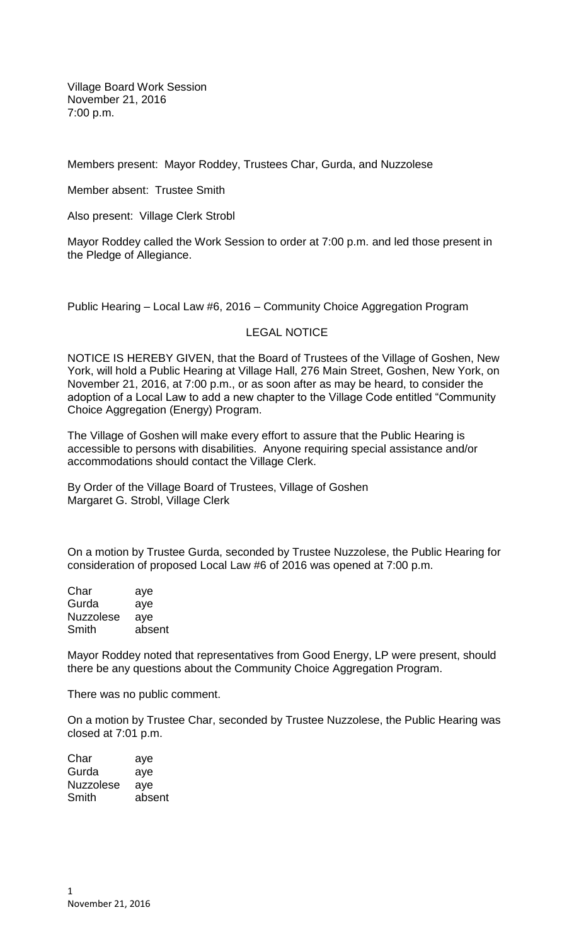Village Board Work Session November 21, 2016 7:00 p.m.

Members present: Mayor Roddey, Trustees Char, Gurda, and Nuzzolese

Member absent: Trustee Smith

Also present: Village Clerk Strobl

Mayor Roddey called the Work Session to order at 7:00 p.m. and led those present in the Pledge of Allegiance.

Public Hearing – Local Law #6, 2016 – Community Choice Aggregation Program

## LEGAL NOTICE

NOTICE IS HEREBY GIVEN, that the Board of Trustees of the Village of Goshen, New York, will hold a Public Hearing at Village Hall, 276 Main Street, Goshen, New York, on November 21, 2016, at 7:00 p.m., or as soon after as may be heard, to consider the adoption of a Local Law to add a new chapter to the Village Code entitled "Community Choice Aggregation (Energy) Program.

The Village of Goshen will make every effort to assure that the Public Hearing is accessible to persons with disabilities. Anyone requiring special assistance and/or accommodations should contact the Village Clerk.

By Order of the Village Board of Trustees, Village of Goshen Margaret G. Strobl, Village Clerk

On a motion by Trustee Gurda, seconded by Trustee Nuzzolese, the Public Hearing for consideration of proposed Local Law #6 of 2016 was opened at 7:00 p.m.

| aye    |
|--------|
| aye    |
| aye    |
| absent |
|        |

Mayor Roddey noted that representatives from Good Energy, LP were present, should there be any questions about the Community Choice Aggregation Program.

There was no public comment.

On a motion by Trustee Char, seconded by Trustee Nuzzolese, the Public Hearing was closed at 7:01 p.m.

| aye    |
|--------|
| aye    |
| aye    |
| absent |
|        |